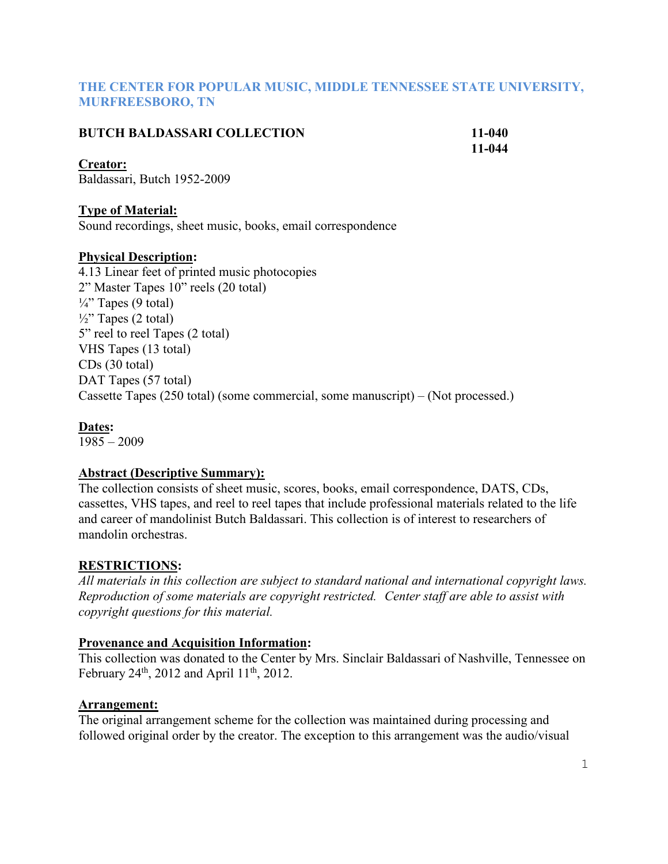# **THE CENTER FOR POPULAR MUSIC, MIDDLE TENNESSEE STATE UNIVERSITY, MURFREESBORO, TN**

| <b>BUTCH BALDASSARI COLLECTION</b> | 11-040 |
|------------------------------------|--------|
|                                    | 11-044 |

#### **Creator:**

Baldassari, Butch 1952-2009

#### **Type of Material:**

Sound recordings, sheet music, books, email correspondence

# **Physical Description:**

4.13 Linear feet of printed music photocopies 2" Master Tapes 10" reels (20 total)  $\frac{1}{4}$ " Tapes (9 total)  $\frac{1}{2}$ " Tapes (2 total) 5" reel to reel Tapes (2 total) VHS Tapes (13 total) CDs (30 total) DAT Tapes (57 total) Cassette Tapes (250 total) (some commercial, some manuscript) – (Not processed.)

#### **Dates:**

1985 – 2009

# **Abstract (Descriptive Summary):**

The collection consists of sheet music, scores, books, email correspondence, DATS, CDs, cassettes, VHS tapes, and reel to reel tapes that include professional materials related to the life and career of mandolinist Butch Baldassari. This collection is of interest to researchers of mandolin orchestras.

# **RESTRICTIONS:**

*All materials in this collection are subject to standard national and international copyright laws. Reproduction of some materials are copyright restricted. Center staff are able to assist with copyright questions for this material.*

#### **Provenance and Acquisition Information:**

This collection was donated to the Center by Mrs. Sinclair Baldassari of Nashville, Tennessee on February  $24<sup>th</sup>$ , 2012 and April 11<sup>th</sup>, 2012.

#### **Arrangement:**

The original arrangement scheme for the collection was maintained during processing and followed original order by the creator. The exception to this arrangement was the audio/visual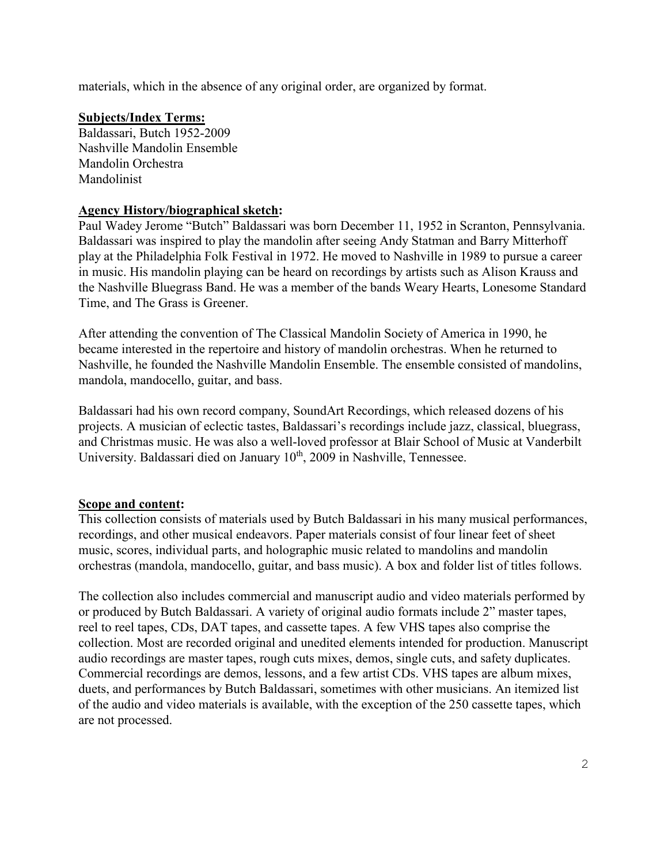materials, which in the absence of any original order, are organized by format.

#### **Subjects/Index Terms:**

Baldassari, Butch 1952-2009 Nashville Mandolin Ensemble Mandolin Orchestra Mandolinist

# **Agency History/biographical sketch:**

Paul Wadey Jerome "Butch" Baldassari was born December 11, 1952 in Scranton, Pennsylvania. Baldassari was inspired to play the mandolin after seeing Andy Statman and Barry Mitterhoff play at the Philadelphia Folk Festival in 1972. He moved to Nashville in 1989 to pursue a career in music. His mandolin playing can be heard on recordings by artists such as Alison Krauss and the Nashville Bluegrass Band. He was a member of the bands Weary Hearts, Lonesome Standard Time, and The Grass is Greener.

After attending the convention of The Classical Mandolin Society of America in 1990, he became interested in the repertoire and history of mandolin orchestras. When he returned to Nashville, he founded the Nashville Mandolin Ensemble. The ensemble consisted of mandolins, mandola, mandocello, guitar, and bass.

Baldassari had his own record company, SoundArt Recordings, which released dozens of his projects. A musician of eclectic tastes, Baldassari's recordings include jazz, classical, bluegrass, and Christmas music. He was also a well-loved professor at Blair School of Music at Vanderbilt University. Baldassari died on January  $10<sup>th</sup>$ ,  $2009$  in Nashville, Tennessee.

# **Scope and content:**

This collection consists of materials used by Butch Baldassari in his many musical performances, recordings, and other musical endeavors. Paper materials consist of four linear feet of sheet music, scores, individual parts, and holographic music related to mandolins and mandolin orchestras (mandola, mandocello, guitar, and bass music). A box and folder list of titles follows.

The collection also includes commercial and manuscript audio and video materials performed by or produced by Butch Baldassari. A variety of original audio formats include 2" master tapes, reel to reel tapes, CDs, DAT tapes, and cassette tapes. A few VHS tapes also comprise the collection. Most are recorded original and unedited elements intended for production. Manuscript audio recordings are master tapes, rough cuts mixes, demos, single cuts, and safety duplicates. Commercial recordings are demos, lessons, and a few artist CDs. VHS tapes are album mixes, duets, and performances by Butch Baldassari, sometimes with other musicians. An itemized list of the audio and video materials is available, with the exception of the 250 cassette tapes, which are not processed.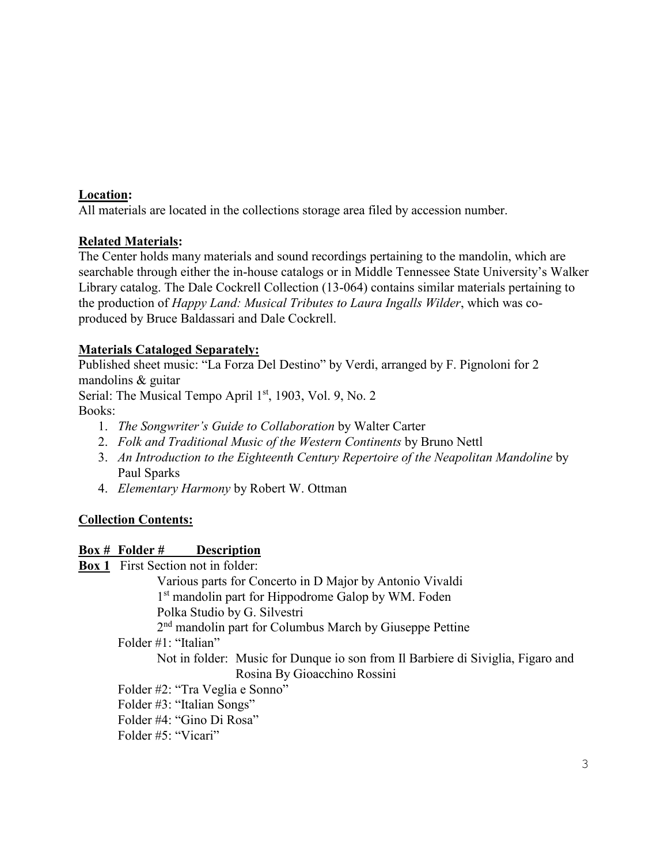# **Location:**

All materials are located in the collections storage area filed by accession number.

# **Related Materials:**

The Center holds many materials and sound recordings pertaining to the mandolin, which are searchable through either the in-house catalogs or in Middle Tennessee State University's Walker Library catalog. The Dale Cockrell Collection (13-064) contains similar materials pertaining to the production of *Happy Land: Musical Tributes to Laura Ingalls Wilder*, which was coproduced by Bruce Baldassari and Dale Cockrell.

# **Materials Cataloged Separately:**

Published sheet music: "La Forza Del Destino" by Verdi, arranged by F. Pignoloni for 2 mandolins & guitar

Serial: The Musical Tempo April 1<sup>st</sup>, 1903, Vol. 9, No. 2 Books:

- 1. *The Songwriter's Guide to Collaboration* by Walter Carter
- 2. *Folk and Traditional Music of the Western Continents* by Bruno Nettl
- 3. *An Introduction to the Eighteenth Century Repertoire of the Neapolitan Mandoline* by Paul Sparks
- 4. *Elementary Harmony* by Robert W. Ottman

# **Collection Contents:**

# **Box # Folder # Description**

**Box 1** First Section not in folder:

Various parts for Concerto in D Major by Antonio Vivaldi 1<sup>st</sup> mandolin part for Hippodrome Galop by WM. Foden

Polka Studio by G. Silvestri

2<sup>nd</sup> mandolin part for Columbus March by Giuseppe Pettine

Folder #1: "Italian"

Not in folder: Music for Dunque io son from Il Barbiere di Siviglia, Figaro and Rosina By Gioacchino Rossini

Folder #2: "Tra Veglia e Sonno"

Folder #3: "Italian Songs"

Folder #4: "Gino Di Rosa"

Folder #5: "Vicari"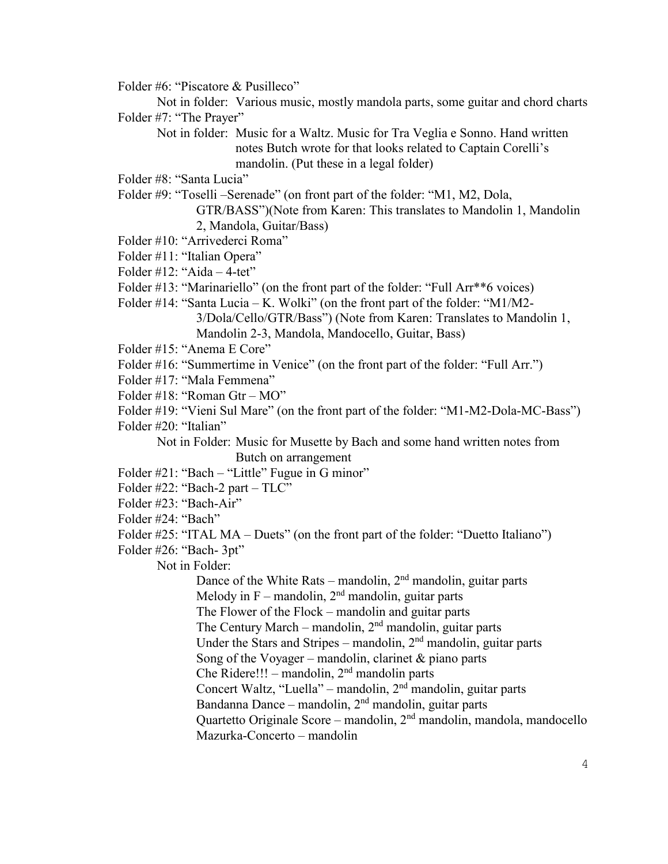Folder #6: "Piscatore & Pusilleco"

Not in folder: Various music, mostly mandola parts, some guitar and chord charts Folder #7: "The Prayer"

Not in folder: Music for a Waltz. Music for Tra Veglia e Sonno. Hand written notes Butch wrote for that looks related to Captain Corelli's mandolin. (Put these in a legal folder)

Folder #8: "Santa Lucia"

Folder #9: "Toselli –Serenade" (on front part of the folder: "M1, M2, Dola,

GTR/BASS")(Note from Karen: This translates to Mandolin 1, Mandolin 2, Mandola, Guitar/Bass)

Folder #10: "Arrivederci Roma"

Folder #11: "Italian Opera"

Folder #12: "Aida – 4-tet"

Folder #13: "Marinariello" (on the front part of the folder: "Full Arr<sup>\*\*6</sup> voices)

Folder #14: "Santa Lucia – K. Wolki" (on the front part of the folder: "M1/M2-

3/Dola/Cello/GTR/Bass") (Note from Karen: Translates to Mandolin 1, Mandolin 2-3, Mandola, Mandocello, Guitar, Bass)

Folder #15: "Anema E Core"

Folder #16: "Summertime in Venice" (on the front part of the folder: "Full Arr.")

- Folder #17: "Mala Femmena"
- Folder #18: "Roman Gtr MO"
- Folder #19: "Vieni Sul Mare" (on the front part of the folder: "M1-M2-Dola-MC-Bass")
- Folder #20: "Italian"

Not in Folder: Music for Musette by Bach and some hand written notes from Butch on arrangement

- Folder #21: "Bach "Little" Fugue in G minor"
- Folder #22: "Bach-2 part TLC"
- Folder #23: "Bach-Air"
- Folder #24: "Bach"
- Folder #25: "ITAL MA Duets" (on the front part of the folder: "Duetto Italiano")

Folder #26: "Bach- 3pt"

Not in Folder:

Dance of the White Rats – mandolin,  $2<sup>nd</sup>$  mandolin, guitar parts Melody in  $F$  – mandolin,  $2<sup>nd</sup>$  mandolin, guitar parts The Flower of the Flock – mandolin and guitar parts The Century March – mandolin,  $2<sup>nd</sup>$  mandolin, guitar parts Under the Stars and Stripes – mandolin, 2<sup>nd</sup> mandolin, guitar parts Song of the Voyager – mandolin, clarinet  $\&$  piano parts Che Ridere!!! – mandolin,  $2<sup>nd</sup>$  mandolin parts Concert Waltz, "Luella" – mandolin,  $2<sup>nd</sup>$  mandolin, guitar parts Bandanna Dance – mandolin,  $2<sup>nd</sup>$  mandolin, guitar parts

Quartetto Originale Score – mandolin, 2nd mandolin, mandola, mandocello Mazurka-Concerto – mandolin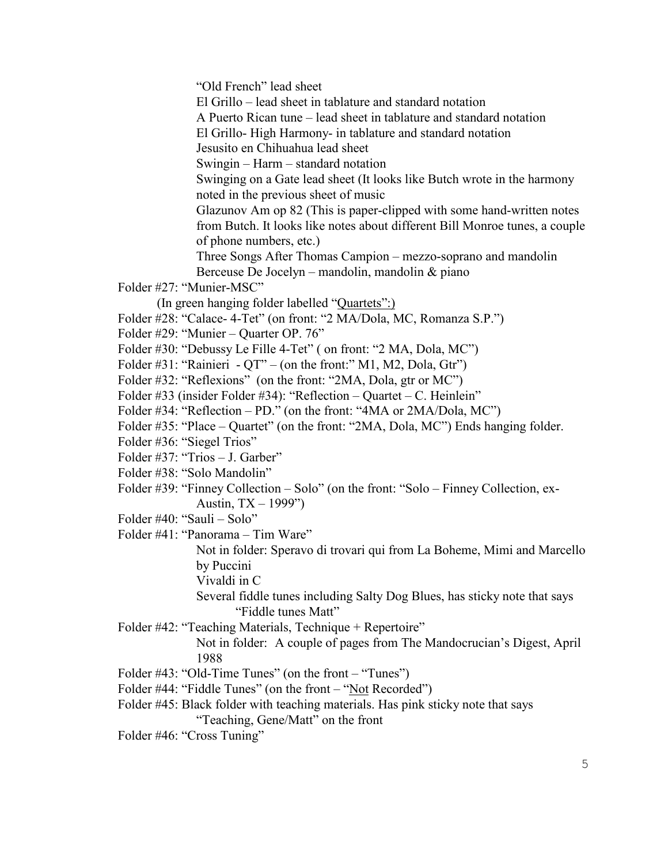"Old French" lead sheet

El Grillo – lead sheet in tablature and standard notation

A Puerto Rican tune – lead sheet in tablature and standard notation

El Grillo- High Harmony- in tablature and standard notation

Jesusito en Chihuahua lead sheet

Swingin – Harm – standard notation

Swinging on a Gate lead sheet (It looks like Butch wrote in the harmony noted in the previous sheet of music

Glazunov Am op 82 (This is paper-clipped with some hand-written notes from Butch. It looks like notes about different Bill Monroe tunes, a couple of phone numbers, etc.)

Three Songs After Thomas Campion – mezzo-soprano and mandolin Berceuse De Jocelyn – mandolin, mandolin & piano

- Folder #27: "Munier-MSC"
	- (In green hanging folder labelled "Quartets":)
- Folder #28: "Calace- 4-Tet" (on front: "2 MA/Dola, MC, Romanza S.P.")
- Folder #29: "Munier Quarter OP. 76"
- Folder #30: "Debussy Le Fille 4-Tet" (on front: "2 MA, Dola, MC")
- Folder  $\#31$ : "Rainieri QT" (on the front:" M1, M2, Dola, Gtr")
- Folder #32: "Reflexions" (on the front: "2MA, Dola, gtr or MC")
- Folder #33 (insider Folder #34): "Reflection Quartet C. Heinlein"
- Folder #34: "Reflection PD." (on the front: "4MA or 2MA/Dola, MC")
- Folder #35: "Place Quartet" (on the front: "2MA, Dola, MC") Ends hanging folder.
- Folder #36: "Siegel Trios"
- Folder #37: "Trios J. Garber"
- Folder #38: "Solo Mandolin"
- Folder #39: "Finney Collection Solo" (on the front: "Solo Finney Collection, ex-Austin, TX – 1999")
- Folder #40: "Sauli Solo"
- Folder #41: "Panorama Tim Ware"

Not in folder: Speravo di trovari qui from La Boheme, Mimi and Marcello by Puccini

- Vivaldi in C
- Several fiddle tunes including Salty Dog Blues, has sticky note that says "Fiddle tunes Matt"
- Folder #42: "Teaching Materials, Technique + Repertoire"
	- Not in folder: A couple of pages from The Mandocrucian's Digest, April 1988
- Folder #43: "Old-Time Tunes" (on the front "Tunes")
- Folder #44: "Fiddle Tunes" (on the front "Not Recorded")
- Folder #45: Black folder with teaching materials. Has pink sticky note that says "Teaching, Gene/Matt" on the front
- Folder #46: "Cross Tuning"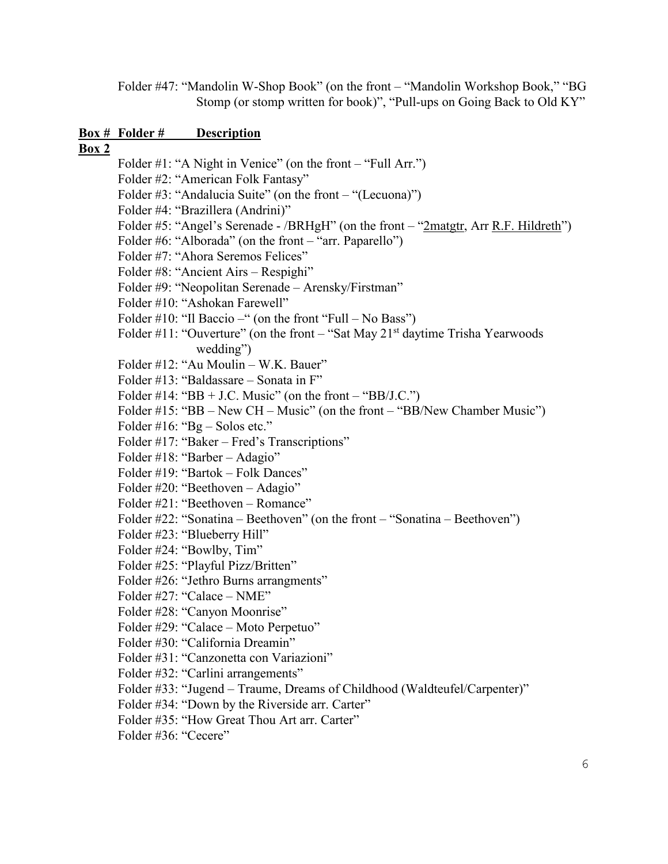Folder #47: "Mandolin W-Shop Book" (on the front – "Mandolin Workshop Book," "BG Stomp (or stomp written for book)", "Pull-ups on Going Back to Old KY"

#### **Box # Folder # Description**

#### **Box 2**

- Folder #1: "A Night in Venice" (on the front "Full Arr.")
- Folder #2: "American Folk Fantasy"
- Folder #3: "Andalucia Suite" (on the front "(Lecuona)")
- Folder #4: "Brazillera (Andrini)"
- Folder #5: "Angel's Serenade /BRHgH" (on the front "2matgtr, Arr R.F. Hildreth")
- Folder #6: "Alborada" (on the front "arr. Paparello")
- Folder #7: "Ahora Seremos Felices"
- Folder #8: "Ancient Airs Respighi"
- Folder #9: "Neopolitan Serenade Arensky/Firstman"
- Folder #10: "Ashokan Farewell"
- Folder #10: "Il Baccio –" (on the front "Full No Bass")
- Folder #11: "Ouverture" (on the front "Sat May  $21<sup>st</sup>$  daytime Trisha Yearwoods wedding")
- Folder #12: "Au Moulin W.K. Bauer"
- Folder #13: "Baldassare Sonata in F"
- Folder #14: "BB + J.C. Music" (on the front "BB/J.C.")
- Folder #15: "BB New CH Music" (on the front "BB/New Chamber Music")
- Folder  $#16$ : "Bg Solos etc."
- Folder #17: "Baker Fred's Transcriptions"
- Folder #18: "Barber Adagio"
- Folder #19: "Bartok Folk Dances"
- Folder #20: "Beethoven Adagio"
- Folder #21: "Beethoven Romance"
- Folder #22: "Sonatina Beethoven" (on the front "Sonatina Beethoven")
- Folder #23: "Blueberry Hill"
- Folder #24: "Bowlby, Tim"
- Folder #25: "Playful Pizz/Britten"
- Folder #26: "Jethro Burns arrangments"
- Folder #27: "Calace NME"
- Folder #28: "Canyon Moonrise"
- Folder #29: "Calace Moto Perpetuo"
- Folder #30: "California Dreamin"
- Folder #31: "Canzonetta con Variazioni"
- Folder #32: "Carlini arrangements"
- Folder #33: "Jugend Traume, Dreams of Childhood (Waldteufel/Carpenter)"
- Folder #34: "Down by the Riverside arr. Carter"
- Folder #35: "How Great Thou Art arr. Carter"
- Folder #36: "Cecere"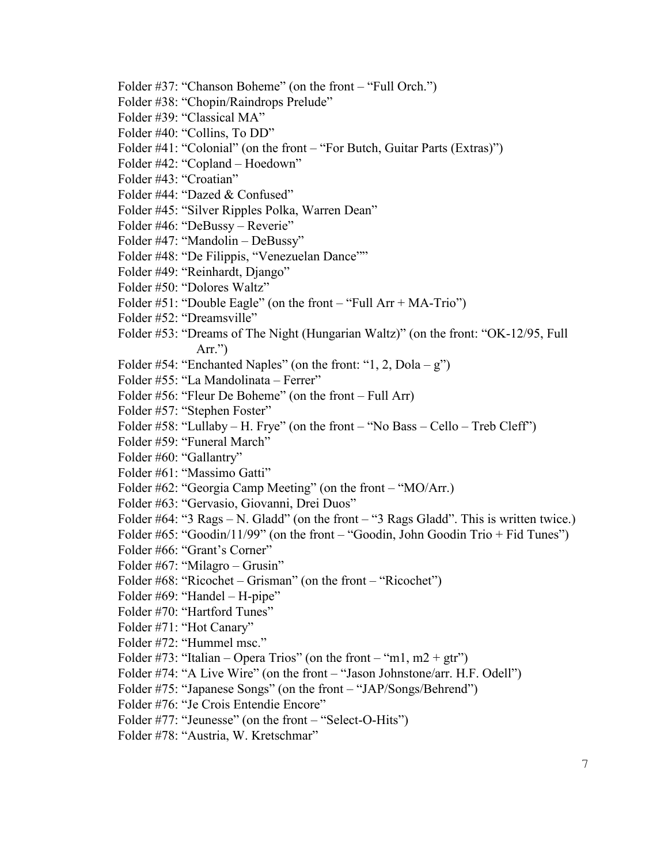- Folder #37: "Chanson Boheme" (on the front "Full Orch.")
- Folder #38: "Chopin/Raindrops Prelude"
- Folder #39: "Classical MA"
- Folder #40: "Collins, To DD"
- Folder #41: "Colonial" (on the front "For Butch, Guitar Parts (Extras)")
- Folder #42: "Copland Hoedown"
- Folder #43: "Croatian"
- Folder #44: "Dazed & Confused"
- Folder #45: "Silver Ripples Polka, Warren Dean"
- Folder #46: "DeBussy Reverie"
- Folder #47: "Mandolin DeBussy"
- Folder #48: "De Filippis, "Venezuelan Dance""
- Folder #49: "Reinhardt, Django"
- Folder #50: "Dolores Waltz"
- Folder #51: "Double Eagle" (on the front "Full Arr + MA-Trio")
- Folder #52: "Dreamsville"
- Folder #53: "Dreams of The Night (Hungarian Waltz)" (on the front: "OK-12/95, Full  $Arr$ .")
- Folder #54: "Enchanted Naples" (on the front: "1, 2,  $Dola g$ ")
- Folder #55: "La Mandolinata Ferrer"
- Folder #56: "Fleur De Boheme" (on the front Full Arr)
- Folder #57: "Stephen Foster"
- Folder  $#58$ : "Lullaby H. Frye" (on the front "No Bass Cello Treb Cleff")
- Folder #59: "Funeral March"
- Folder #60: "Gallantry"
- Folder #61: "Massimo Gatti"
- Folder #62: "Georgia Camp Meeting" (on the front "MO/Arr.)
- Folder #63: "Gervasio, Giovanni, Drei Duos"
- Folder #64: "3 Rags N. Gladd" (on the front "3 Rags Gladd". This is written twice.)
- Folder #65: "Goodin/11/99" (on the front "Goodin, John Goodin Trio + Fid Tunes")
- Folder #66: "Grant's Corner"
- Folder #67: "Milagro Grusin"
- Folder #68: "Ricochet Grisman" (on the front "Ricochet")
- Folder #69: "Handel H-pipe"
- Folder #70: "Hartford Tunes"
- Folder #71: "Hot Canary"
- Folder #72: "Hummel msc."
- Folder #73: "Italian Opera Trios" (on the front "m1, m2 + gtr")
- Folder #74: "A Live Wire" (on the front "Jason Johnstone/arr. H.F. Odell")
- Folder #75: "Japanese Songs" (on the front "JAP/Songs/Behrend")
- Folder #76: "Je Crois Entendie Encore"
- Folder #77: "Jeunesse" (on the front "Select-O-Hits")
- Folder #78: "Austria, W. Kretschmar"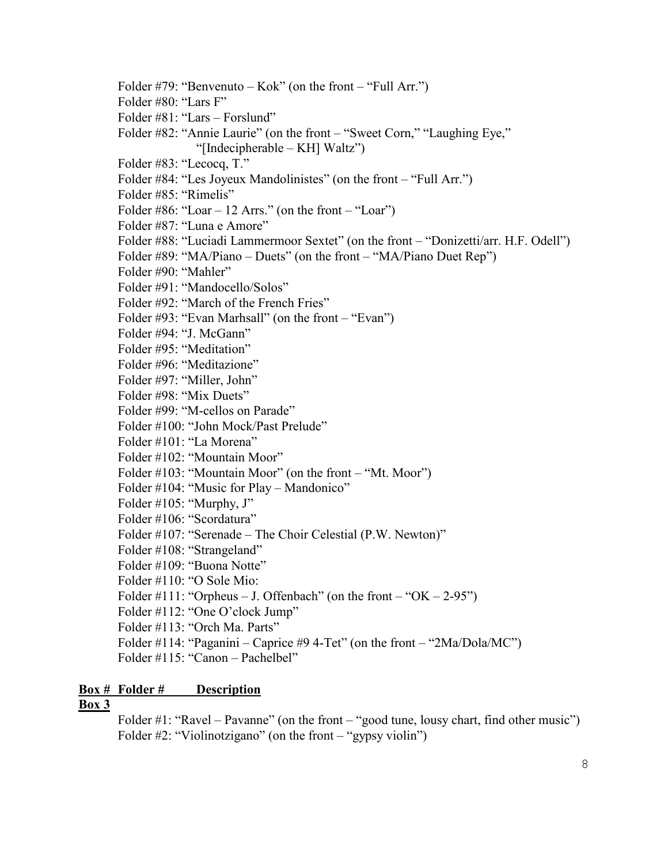- Folder #79: "Benvenuto Kok" (on the front "Full Arr.")
- Folder #80: "Lars F"
- Folder #81: "Lars Forslund"
- Folder #82: "Annie Laurie" (on the front "Sweet Corn," "Laughing Eye," "[Indecipherable – KH] Waltz")
- Folder #83: "Lecocq, T."
- Folder #84: "Les Joyeux Mandolinistes" (on the front "Full Arr.")
- Folder #85: "Rimelis"
- Folder #86: "Loar  $-12$  Arrs." (on the front  $-$  "Loar")
- Folder #87: "Luna e Amore"
- Folder #88: "Luciadi Lammermoor Sextet" (on the front "Donizetti/arr. H.F. Odell")
- Folder #89: "MA/Piano Duets" (on the front "MA/Piano Duet Rep")
- Folder #90: "Mahler"
- Folder #91: "Mandocello/Solos"
- Folder #92: "March of the French Fries"
- Folder #93: "Evan Marhsall" (on the front "Evan")
- Folder #94: "J. McGann"
- Folder #95: "Meditation"
- Folder #96: "Meditazione"
- Folder #97: "Miller, John"
- Folder #98: "Mix Duets"
- Folder #99: "M-cellos on Parade"
- Folder #100: "John Mock/Past Prelude"
- Folder #101: "La Morena"
- Folder #102: "Mountain Moor"
- Folder #103: "Mountain Moor" (on the front "Mt. Moor")
- Folder #104: "Music for Play Mandonico"
- Folder #105: "Murphy, J"
- Folder #106: "Scordatura"
- Folder #107: "Serenade The Choir Celestial (P.W. Newton)"
- Folder #108: "Strangeland"
- Folder #109: "Buona Notte"
- Folder #110: "O Sole Mio:
- Folder #111: "Orpheus J. Offenbach" (on the front "OK 2-95")
- Folder #112: "One O'clock Jump"
- Folder #113: "Orch Ma. Parts"
- Folder #114: "Paganini Caprice #9 4-Tet" (on the front "2Ma/Dola/MC")
- Folder #115: "Canon Pachelbel"

#### **Box # Folder # Description**

#### **Box 3**

Folder #1: "Ravel – Pavanne" (on the front – "good tune, lousy chart, find other music") Folder #2: "Violinotzigano" (on the front – "gypsy violin")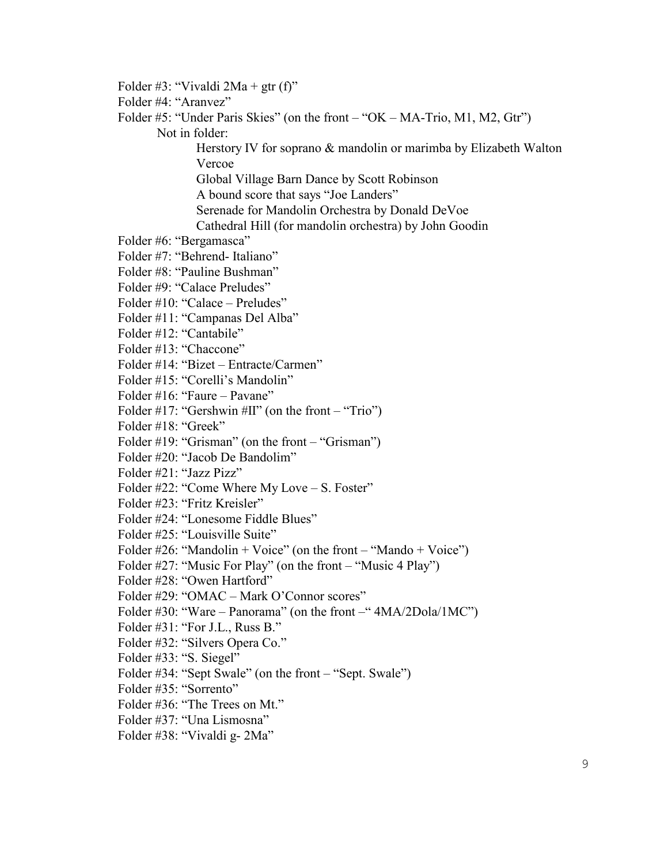Folder #3: "Vivaldi  $2Ma + gtr(f)$ " Folder #4: "Aranvez" Folder #5: "Under Paris Skies" (on the front – "OK – MA-Trio, M1, M2, Gtr") Not in folder: Herstory IV for soprano & mandolin or marimba by Elizabeth Walton Vercoe Global Village Barn Dance by Scott Robinson A bound score that says "Joe Landers" Serenade for Mandolin Orchestra by Donald DeVoe Cathedral Hill (for mandolin orchestra) by John Goodin Folder #6: "Bergamasca" Folder #7: "Behrend- Italiano" Folder #8: "Pauline Bushman" Folder #9: "Calace Preludes" Folder #10: "Calace – Preludes" Folder #11: "Campanas Del Alba" Folder #12: "Cantabile" Folder #13: "Chaccone" Folder #14: "Bizet – Entracte/Carmen" Folder #15: "Corelli's Mandolin" Folder #16: "Faure – Pavane" Folder #17: "Gershwin #II" (on the front – "Trio") Folder #18: "Greek" Folder #19: "Grisman" (on the front – "Grisman") Folder #20: "Jacob De Bandolim" Folder #21: "Jazz Pizz" Folder #22: "Come Where My Love – S. Foster" Folder #23: "Fritz Kreisler" Folder #24: "Lonesome Fiddle Blues" Folder #25: "Louisville Suite" Folder #26: "Mandolin + Voice" (on the front – "Mando + Voice") Folder #27: "Music For Play" (on the front – "Music 4 Play") Folder #28: "Owen Hartford" Folder #29: "OMAC – Mark O'Connor scores" Folder #30: "Ware – Panorama" (on the front – "4MA/2Dola/1MC") Folder #31: "For J.L., Russ B." Folder #32: "Silvers Opera Co." Folder #33: "S. Siegel" Folder #34: "Sept Swale" (on the front – "Sept. Swale") Folder #35: "Sorrento" Folder #36: "The Trees on Mt." Folder #37: "Una Lismosna" Folder #38: "Vivaldi g- 2Ma"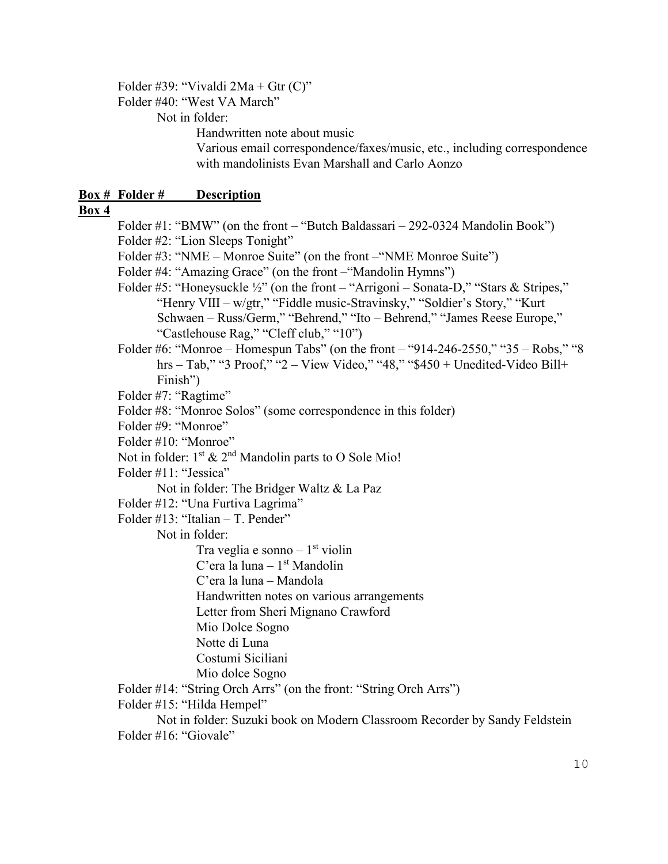Folder #39: "Vivaldi  $2Ma + Gtr(C)$ "

Folder #40: "West VA March"

Not in folder:

Handwritten note about music

Various email correspondence/faxes/music, etc., including correspondence with mandolinists Evan Marshall and Carlo Aonzo

#### **Box # Folder # Description**

# **Box 4**

Folder #1: "BMW" (on the front – "Butch Baldassari – 292-0324 Mandolin Book") Folder #2: "Lion Sleeps Tonight"

Folder #3: "NME – Monroe Suite" (on the front – "NME Monroe Suite")

- Folder #4: "Amazing Grace" (on the front "Mandolin Hymns")
- Folder #5: "Honeysuckle ½" (on the front "Arrigoni Sonata-D," "Stars & Stripes," "Henry VIII – w/gtr," "Fiddle music-Stravinsky," "Soldier's Story," "Kurt Schwaen – Russ/Germ," "Behrend," "Ito – Behrend," "James Reese Europe," "Castlehouse Rag," "Cleff club," "10")
- Folder #6: "Monroe Homespun Tabs" (on the front "914-246-2550," "35 Robs," "8 hrs – Tab," "3 Proof," "2 – View Video," "48," "\$450 + Unedited-Video Bill+ Finish")
- Folder #7: "Ragtime"
- Folder #8: "Monroe Solos" (some correspondence in this folder)
- Folder #9: "Monroe"
- Folder #10: "Monroe"
- Not in folder:  $1^{st}$  &  $2^{nd}$  Mandolin parts to O Sole Mio!
- Folder #11: "Jessica"
	- Not in folder: The Bridger Waltz & La Paz
- Folder #12: "Una Furtiva Lagrima"
- Folder #13: "Italian T. Pender"

Not in folder:

Tra veglia e sonno  $-1<sup>st</sup>$  violin

C'era la luna –  $1<sup>st</sup>$  Mandolin

C'era la luna – Mandola

Handwritten notes on various arrangements

Letter from Sheri Mignano Crawford

- Mio Dolce Sogno
- Notte di Luna
- Costumi Siciliani
- Mio dolce Sogno
- Folder #14: "String Orch Arrs" (on the front: "String Orch Arrs")
- Folder #15: "Hilda Hempel"
- Not in folder: Suzuki book on Modern Classroom Recorder by Sandy Feldstein Folder #16: "Giovale"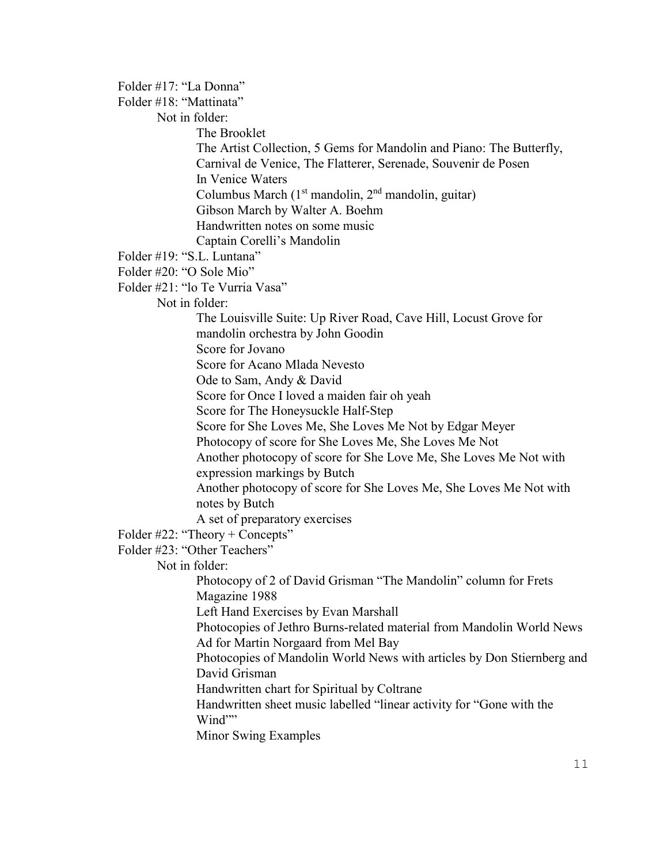Folder #17: "La Donna" Folder #18: "Mattinata" Not in folder: The Brooklet The Artist Collection, 5 Gems for Mandolin and Piano: The Butterfly, Carnival de Venice, The Flatterer, Serenade, Souvenir de Posen In Venice Waters Columbus March  $(1<sup>st</sup>$  mandolin,  $2<sup>nd</sup>$  mandolin, guitar) Gibson March by Walter A. Boehm Handwritten notes on some music Captain Corelli's Mandolin Folder #19: "S.L. Luntana" Folder #20: "O Sole Mio" Folder #21: "lo Te Vurria Vasa" Not in folder: The Louisville Suite: Up River Road, Cave Hill, Locust Grove for mandolin orchestra by John Goodin Score for Jovano Score for Acano Mlada Nevesto Ode to Sam, Andy & David Score for Once I loved a maiden fair oh yeah Score for The Honeysuckle Half-Step Score for She Loves Me, She Loves Me Not by Edgar Meyer Photocopy of score for She Loves Me, She Loves Me Not Another photocopy of score for She Love Me, She Loves Me Not with expression markings by Butch Another photocopy of score for She Loves Me, She Loves Me Not with notes by Butch A set of preparatory exercises Folder #22: "Theory + Concepts" Folder #23: "Other Teachers" Not in folder: Photocopy of 2 of David Grisman "The Mandolin" column for Frets Magazine 1988 Left Hand Exercises by Evan Marshall Photocopies of Jethro Burns-related material from Mandolin World News Ad for Martin Norgaard from Mel Bay Photocopies of Mandolin World News with articles by Don Stiernberg and David Grisman Handwritten chart for Spiritual by Coltrane Handwritten sheet music labelled "linear activity for "Gone with the Wind"" Minor Swing Examples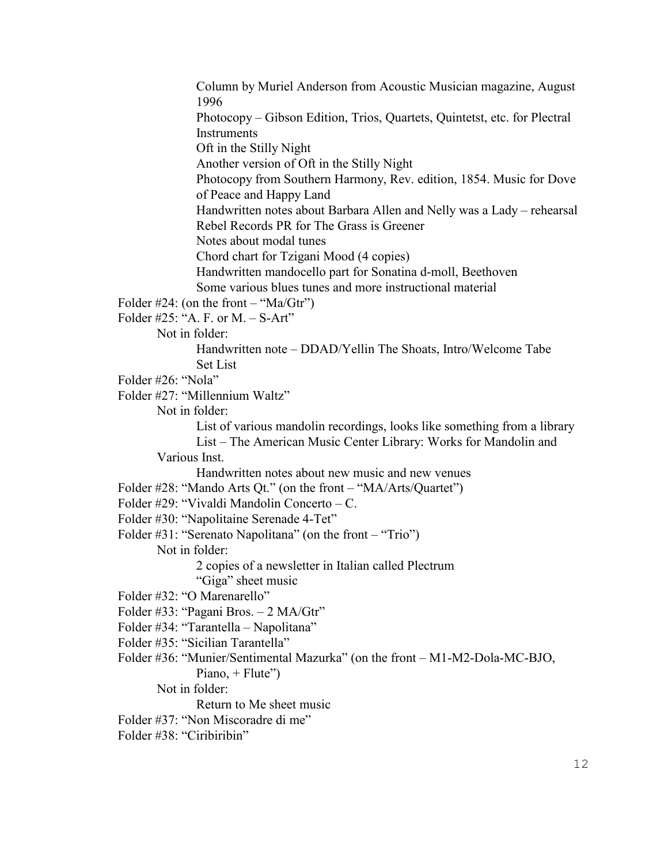Column by Muriel Anderson from Acoustic Musician magazine, August 1996 Photocopy – Gibson Edition, Trios, Quartets, Quintetst, etc. for Plectral Instruments Oft in the Stilly Night Another version of Oft in the Stilly Night Photocopy from Southern Harmony, Rev. edition, 1854. Music for Dove of Peace and Happy Land Handwritten notes about Barbara Allen and Nelly was a Lady – rehearsal Rebel Records PR for The Grass is Greener Notes about modal tunes Chord chart for Tzigani Mood (4 copies) Handwritten mandocello part for Sonatina d-moll, Beethoven Some various blues tunes and more instructional material Folder  $\#24$ : (on the front – "Ma/Gtr") Folder #25: "A. F. or M. – S-Art" Not in folder: Handwritten note – DDAD/Yellin The Shoats, Intro/Welcome Tabe Set List Folder #26: "Nola" Folder #27: "Millennium Waltz" Not in folder: List of various mandolin recordings, looks like something from a library List – The American Music Center Library: Works for Mandolin and Various Inst. Handwritten notes about new music and new venues Folder #28: "Mando Arts Qt." (on the front – "MA/Arts/Quartet") Folder #29: "Vivaldi Mandolin Concerto – C. Folder #30: "Napolitaine Serenade 4-Tet" Folder #31: "Serenato Napolitana" (on the front – "Trio") Not in folder: 2 copies of a newsletter in Italian called Plectrum "Giga" sheet music Folder #32: "O Marenarello" Folder #33: "Pagani Bros. – 2 MA/Gtr" Folder #34: "Tarantella – Napolitana" Folder #35: "Sicilian Tarantella" Folder #36: "Munier/Sentimental Mazurka" (on the front – M1-M2-Dola-MC-BJO, Piano,  $+$  Flute") Not in folder: Return to Me sheet music Folder #37: "Non Miscoradre di me" Folder #38: "Ciribiribin"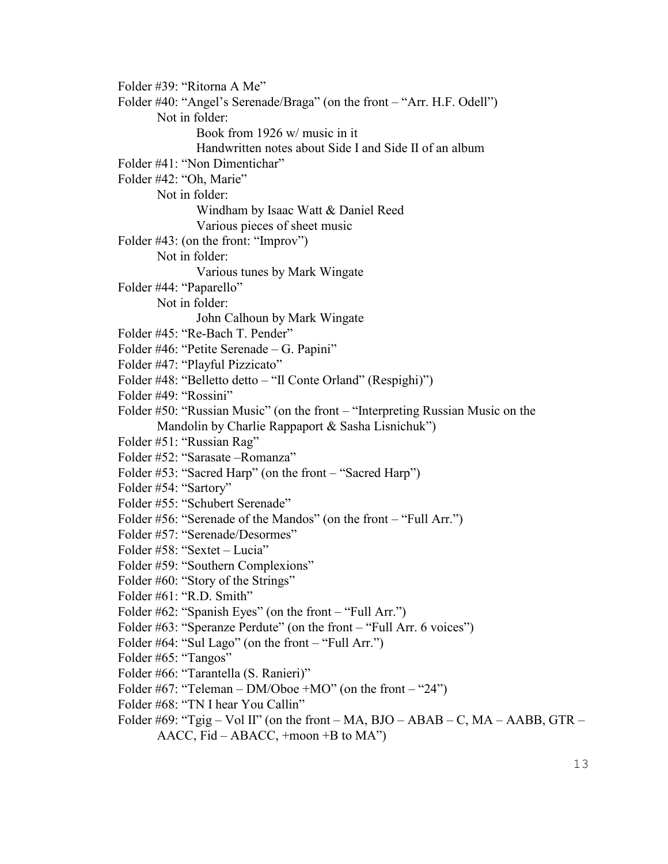Folder #39: "Ritorna A Me" Folder #40: "Angel's Serenade/Braga" (on the front – "Arr. H.F. Odell") Not in folder: Book from 1926 w/ music in it Handwritten notes about Side I and Side II of an album Folder #41: "Non Dimentichar" Folder #42: "Oh, Marie" Not in folder: Windham by Isaac Watt & Daniel Reed Various pieces of sheet music Folder #43: (on the front: "Improv") Not in folder: Various tunes by Mark Wingate Folder #44: "Paparello" Not in folder: John Calhoun by Mark Wingate Folder #45: "Re-Bach T. Pender" Folder #46: "Petite Serenade – G. Papini" Folder #47: "Playful Pizzicato" Folder #48: "Belletto detto – "Il Conte Orland" (Respighi)") Folder #49: "Rossini" Folder #50: "Russian Music" (on the front – "Interpreting Russian Music on the Mandolin by Charlie Rappaport & Sasha Lisnichuk") Folder #51: "Russian Rag" Folder #52: "Sarasate –Romanza" Folder #53: "Sacred Harp" (on the front – "Sacred Harp") Folder #54: "Sartory" Folder #55: "Schubert Serenade" Folder #56: "Serenade of the Mandos" (on the front – "Full Arr.") Folder #57: "Serenade/Desormes" Folder #58: "Sextet – Lucia" Folder #59: "Southern Complexions" Folder #60: "Story of the Strings" Folder #61: "R.D. Smith" Folder #62: "Spanish Eyes" (on the front – "Full Arr.") Folder #63: "Speranze Perdute" (on the front – "Full Arr. 6 voices") Folder #64: "Sul Lago" (on the front – "Full Arr.") Folder #65: "Tangos" Folder #66: "Tarantella (S. Ranieri)" Folder #67: "Teleman – DM/Oboe +MO" (on the front – "24") Folder #68: "TN I hear You Callin" Folder #69: "Tgig – Vol II" (on the front – MA, BJO – ABAB – C, MA – AABB, GTR – AACC, Fid – ABACC,  $+$ moon  $+$ B to MA")